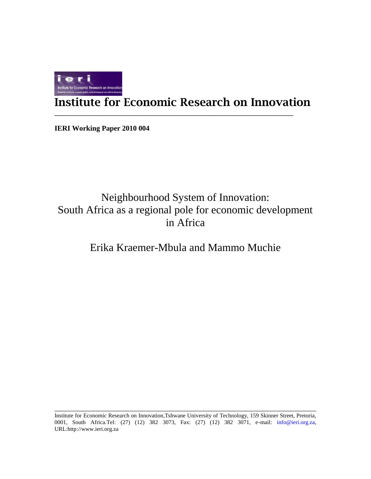

# **Institute for Economic Research on Innovation**

\_\_\_\_\_\_\_\_\_\_\_\_\_\_\_\_\_\_\_\_\_\_\_\_\_\_\_\_\_\_\_\_\_\_\_\_\_\_\_\_\_\_\_\_\_\_\_\_\_\_\_\_\_\_\_\_\_\_\_\_\_\_\_\_\_\_\_\_\_\_\_\_

**IERI Working Paper 2010 004**

# Neighbourhood System of Innovation: South Africa as a regional pole for economic development in Africa

## Erika Kraemer-Mbula and Mammo Muchie

Institute for Economic Research on Innovation,Tshwane University of Technology, 159 Skinner Street, Pretoria, 0001, South Africa.Tel: (27) (12) 382 3073, Fax: (27) (12) 382 3071, e-mail: info@ieri.org.za, URL:http://www.ieri.org.za

\_\_\_\_\_\_\_\_\_\_\_\_\_\_\_\_\_\_\_\_\_\_\_\_\_\_\_\_\_\_\_\_\_\_\_\_\_\_\_\_\_\_\_\_\_\_\_\_\_\_\_\_\_\_\_\_\_\_\_\_\_\_\_\_\_\_\_\_\_\_\_\_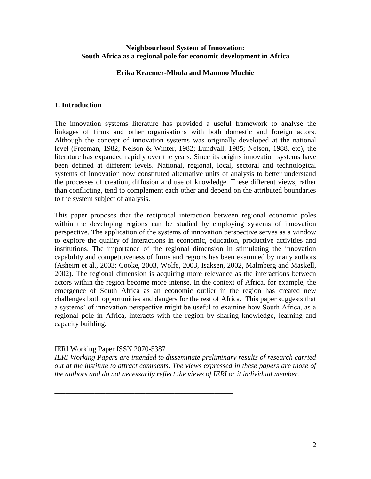#### **Neighbourhood System of Innovation: South Africa as a regional pole for economic development in Africa**

#### **Erika Kraemer-Mbula and Mammo Muchie**

#### **1. Introduction**

The innovation systems literature has provided a useful framework to analyse the linkages of firms and other organisations with both domestic and foreign actors. Although the concept of innovation systems was originally developed at the national level (Freeman, 1982; Nelson & Winter, 1982; Lundvall, 1985; Nelson, 1988, etc), the literature has expanded rapidly over the years. Since its origins innovation systems have been defined at different levels. National, regional, local, sectoral and technological systems of innovation now constituted alternative units of analysis to better understand the processes of creation, diffusion and use of knowledge. These different views, rather than conflicting, tend to complement each other and depend on the attributed boundaries to the system subject of analysis.

This paper proposes that the reciprocal interaction between regional economic poles within the developing regions can be studied by employing systems of innovation perspective. The application of the systems of innovation perspective serves as a window to explore the quality of interactions in economic, education, productive activities and institutions. The importance of the regional dimension in stimulating the innovation capability and competitiveness of firms and regions has been examined by many authors (Asheim et al., 2003: Cooke, 2003, Wolfe, 2003, Isaksen, 2002, Malmberg and Maskell, 2002). The regional dimension is acquiring more relevance as the interactions between actors within the region become more intense. In the context of Africa, for example, the emergence of South Africa as an economic outlier in the region has created new challenges both opportunities and dangers for the rest of Africa. This paper suggests that a systems" of innovation perspective might be useful to examine how South Africa, as a regional pole in Africa, interacts with the region by sharing knowledge, learning and capacity building.

#### IERI Working Paper ISSN 2070-5387

\_\_\_\_\_\_\_\_\_\_\_\_\_\_\_\_\_\_\_\_\_\_\_\_\_\_\_\_\_\_\_\_\_\_\_\_\_\_\_\_\_\_\_\_\_\_\_\_\_

*IERI Working Papers are intended to disseminate preliminary results of research carried out at the institute to attract comments. The views expressed in these papers are those of the authors and do not necessarily reflect the views of IERI or it individual member.*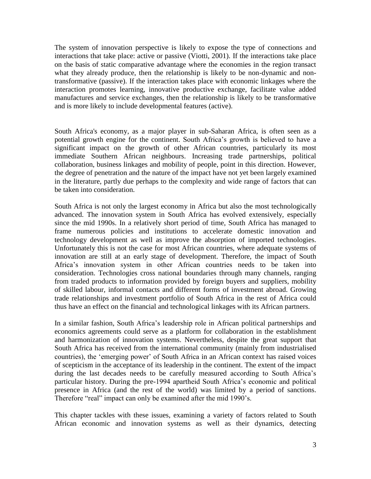The system of innovation perspective is likely to expose the type of connections and interactions that take place: active or passive (Viotti, 2001). If the interactions take place on the basis of static comparative advantage where the economies in the region transact what they already produce, then the relationship is likely to be non-dynamic and nontransformative (passive). If the interaction takes place with economic linkages where the interaction promotes learning, innovative productive exchange, facilitate value added manufactures and service exchanges, then the relationship is likely to be transformative and is more likely to include developmental features (active).

South Africa's economy, as a major player in sub-Saharan Africa, is often seen as a potential growth engine for the continent. South Africa"s growth is believed to have a significant impact on the growth of other African countries, particularly its most immediate Southern African neighbours. Increasing trade partnerships, political collaboration, business linkages and mobility of people, point in this direction. However, the degree of penetration and the nature of the impact have not yet been largely examined in the literature, partly due perhaps to the complexity and wide range of factors that can be taken into consideration.

South Africa is not only the largest economy in Africa but also the most technologically advanced. The innovation system in South Africa has evolved extensively, especially since the mid 1990s. In a relatively short period of time, South Africa has managed to frame numerous policies and institutions to accelerate domestic innovation and technology development as well as improve the absorption of imported technologies. Unfortunately this is not the case for most African countries, where adequate systems of innovation are still at an early stage of development. Therefore, the impact of South Africa"s innovation system in other African countries needs to be taken into consideration. Technologies cross national boundaries through many channels, ranging from traded products to information provided by foreign buyers and suppliers, mobility of skilled labour, informal contacts and different forms of investment abroad. Growing trade relationships and investment portfolio of South Africa in the rest of Africa could thus have an effect on the financial and technological linkages with its African partners.

In a similar fashion, South Africa"s leadership role in African political partnerships and economics agreements could serve as a platform for collaboration in the establishment and harmonization of innovation systems. Nevertheless, despite the great support that South Africa has received from the international community (mainly from industrialised countries), the "emerging power" of South Africa in an African context has raised voices of scepticism in the acceptance of its leadership in the continent. The extent of the impact during the last decades needs to be carefully measured according to South Africa"s particular history. During the pre-1994 apartheid South Africa"s economic and political presence in Africa (and the rest of the world) was limited by a period of sanctions. Therefore "real" impact can only be examined after the mid 1990"s.

This chapter tackles with these issues, examining a variety of factors related to South African economic and innovation systems as well as their dynamics, detecting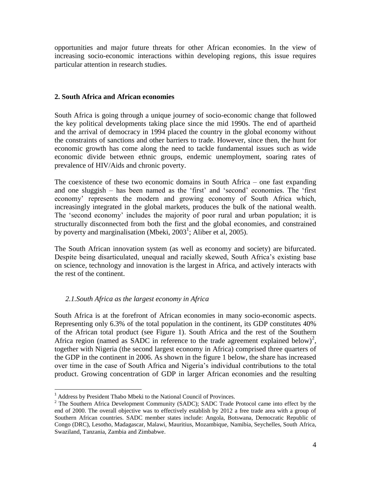opportunities and major future threats for other African economies. In the view of increasing socio-economic interactions within developing regions, this issue requires particular attention in research studies.

#### **2. South Africa and African economies**

South Africa is going through a unique journey of socio-economic change that followed the key political developments taking place since the mid 1990s. The end of apartheid and the arrival of democracy in 1994 placed the country in the global economy without the constraints of sanctions and other barriers to trade. However, since then, the hunt for economic growth has come along the need to tackle fundamental issues such as wide economic divide between ethnic groups, endemic unemployment, soaring rates of prevalence of HIV/Aids and chronic poverty.

The coexistence of these two economic domains in South Africa – one fast expanding and one sluggish – has been named as the "first" and "second" economies. The "first economy" represents the modern and growing economy of South Africa which, increasingly integrated in the global markets, produces the bulk of the national wealth. The "second economy" includes the majority of poor rural and urban population; it is structurally disconnected from both the first and the global economies, and constrained by poverty and marginalisation (Mbeki,  $2003^1$ ; Aliber et al, 2005).

The South African innovation system (as well as economy and society) are bifurcated. Despite being disarticulated, unequal and racially skewed, South Africa's existing base on science, technology and innovation is the largest in Africa, and actively interacts with the rest of the continent.

#### *2.1.South Africa as the largest economy in Africa*

South Africa is at the forefront of African economies in many socio-economic aspects. Representing only 6.3% of the total population in the continent, its GDP constitutes 40% of the African total product (see Figure 1). South Africa and the rest of the Southern Africa region (named as SADC in reference to the trade agreement explained below)<sup>2</sup>, together with Nigeria (the second largest economy in Africa) comprised three quarters of the GDP in the continent in 2006. As shown in the figure 1 below, the share has increased over time in the case of South Africa and Nigeria"s individual contributions to the total product. Growing concentration of GDP in larger African economies and the resulting

<sup>1</sup> Address by President Thabo Mbeki to the National Council of Provinces.

<sup>&</sup>lt;sup>2</sup> The Southern Africa Development Community (SADC); SADC Trade Protocol came into effect by the end of 2000. The overall objective was to effectively establish by 2012 a free trade area with a group of Southern African countries. SADC member states include: Angola, Botswana, Democratic Republic of Congo (DRC), Lesotho, Madagascar, Malawi, Mauritius, Mozambique, Namibia, Seychelles, South Africa, Swaziland, Tanzania, Zambia and Zimbabwe.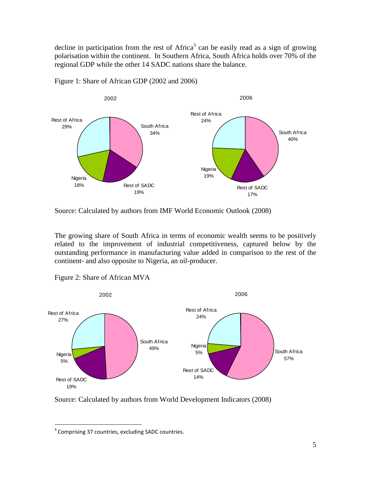decline in participation from the rest of Africa<sup>3</sup> can be easily read as a sign of growing polarisation within the continent. In Southern Africa, South Africa holds over 70% of the regional GDP while the other 14 SADC nations share the balance.



Figure 1: Share of African GDP (2002 and 2006)

Source: Calculated by authors from IMF World Economic Outlook (2008)

The growing share of South Africa in terms of economic wealth seems to be positively related to the improvement of industrial competitiveness, captured below by the outstanding performance in manufacturing value added in comparison to the rest of the continent- and also opposite to Nigeria, an oil-producer.



Figure 2: Share of African MVA

Source: Calculated by authors from World Development Indicators (2008)

 $\overline{a}$  $3$  Comprising 37 countries, excluding SADC countries.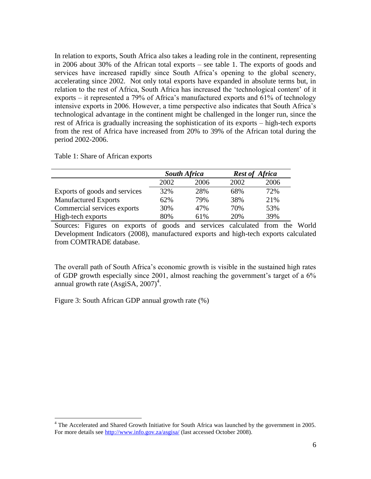In relation to exports, South Africa also takes a leading role in the continent, representing in 2006 about 30% of the African total exports – see table 1. The exports of goods and services have increased rapidly since South Africa's opening to the global scenery, accelerating since 2002. Not only total exports have expanded in absolute terms but, in relation to the rest of Africa, South Africa has increased the "technological content" of it exports – it represented a 79% of Africa"s manufactured exports and 61% of technology intensive exports in 2006. However, a time perspective also indicates that South Africa"s technological advantage in the continent might be challenged in the longer run, since the rest of Africa is gradually increasing the sophistication of its exports – high-tech exports from the rest of Africa have increased from 20% to 39% of the African total during the period 2002-2006.

Table 1: Share of African exports

|                               | <b>South Africa</b> |      | <b>Rest of Africa</b> |      |
|-------------------------------|---------------------|------|-----------------------|------|
|                               | 2002                | 2006 | 2002                  | 2006 |
| Exports of goods and services | 32%                 | 28%  | 68%                   | 72%  |
| <b>Manufactured Exports</b>   | 62%                 | 79%  | 38%                   | 21%  |
| Commercial services exports   | 30%                 | 47%  | 70%                   | 53%  |
| High-tech exports             | 80%                 | 61%  | 20%                   | 39%  |

Sources: Figures on exports of goods and services calculated from the World Development Indicators (2008), manufactured exports and high-tech exports calculated from COMTRADE database.

The overall path of South Africa"s economic growth is visible in the sustained high rates of GDP growth especially since  $2001$ , almost reaching the government's target of a  $6\%$ annual growth rate  $(AsgiSA, 2007)^4$ .

Figure 3: South African GDP annual growth rate (%)

 $4$  The Accelerated and Shared Growth Initiative for South Africa was launched by the government in 2005. For more details see<http://www.info.gov.za/asgisa/> (last accessed October 2008).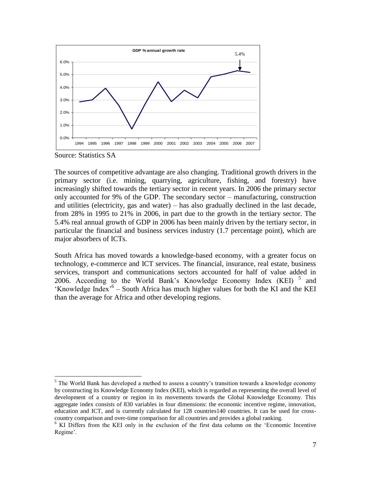

Source: Statistics SA

 $\overline{a}$ 

The sources of competitive advantage are also changing. Traditional growth drivers in the primary sector (i.e. mining, quarrying, agriculture, fishing, and forestry) have increasingly shifted towards the tertiary sector in recent years. In 2006 the primary sector only accounted for 9% of the GDP. The secondary sector – manufacturing, construction and utilities (electricity, gas and water) – has also gradually declined in the last decade, from 28% in 1995 to 21% in 2006, in part due to the growth in the tertiary sector. The 5.4% real annual growth of GDP in 2006 has been mainly driven by the tertiary sector, in particular the financial and business services industry (1.7 percentage point), which are major absorbers of ICTs.

South Africa has moved towards a knowledge-based economy, with a greater focus on technology, e-commerce and ICT services. The financial, insurance, real estate, business services, transport and communications sectors accounted for half of value added in 2006. According to the World Bank's Knowledge Economy Index (KEI)  $^5$  and 'Knowledge Index<sup>'6</sup> - South Africa has much higher values for both the KI and the KEI than the average for Africa and other developing regions.

 $<sup>5</sup>$  The World Bank has developed a method to assess a country's transition towards a knowledge economy</sup> by constructing its Knowledge Economy Index (KEI), which is regarded as representing the overall level of development of a country or region in its movements towards the Global Knowledge Economy. This aggregate index consists of 830 variables in four dimensions: the economic incentive regime, innovation, education and ICT, and is currently calculated for 128 countries140 countries. It can be used for crosscountry comparison and over-time comparison for all countries and provides a global ranking.

<sup>&</sup>lt;sup>6</sup> KI Differs from the KEI only in the exclusion of the first data column on the 'Economic Incentive Regime'.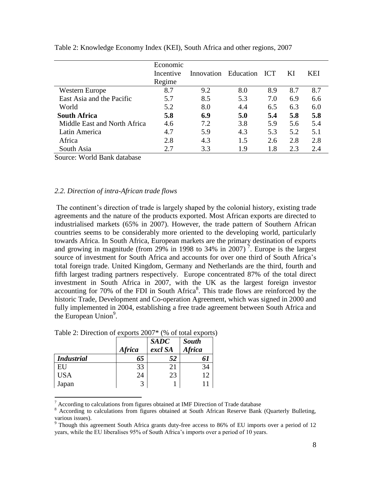|                              | Economic<br>Incentive<br>Regime |     | Innovation Education ICT |     | KI  | KEI |
|------------------------------|---------------------------------|-----|--------------------------|-----|-----|-----|
| <b>Western Europe</b>        | 8.7                             | 9.2 | 8.0                      | 8.9 | 8.7 | 8.7 |
| East Asia and the Pacific    | 5.7                             | 8.5 | 5.3                      | 7.0 | 6.9 | 6.6 |
| World                        | 5.2                             | 8.0 | 4.4                      | 6.5 | 6.3 | 6.0 |
| <b>South Africa</b>          | 5.8                             | 6.9 | 5.0                      | 5.4 | 5.8 | 5.8 |
| Middle East and North Africa | 4.6                             | 7.2 | 3.8                      | 5.9 | 5.6 | 5.4 |
| Latin America                | 4.7                             | 5.9 | 4.3                      | 5.3 | 5.2 | 5.1 |
| Africa                       | 2.8                             | 4.3 | 1.5                      | 2.6 | 2.8 | 2.8 |
| South Asia                   |                                 | 3.3 | 1.9                      | 1.8 | 2.3 | 2.4 |

Table 2: Knowledge Economy Index (KEI), South Africa and other regions, 2007

Source: World Bank database

#### *2.2. Direction of intra-African trade flows*

The continent"s direction of trade is largely shaped by the colonial history, existing trade agreements and the nature of the products exported. Most African exports are directed to industrialised markets (65% in 2007). However, the trade pattern of Southern African countries seems to be considerably more oriented to the developing world, particularly towards Africa. In South Africa, European markets are the primary destination of exports and growing in magnitude (from 29% in 1998 to 34% in 2007)<sup>7</sup>. Europe is the largest source of investment for South Africa and accounts for over one third of South Africa"s total foreign trade. United Kingdom, Germany and Netherlands are the third, fourth and fifth largest trading partners respectively. Europe concentrated 87% of the total direct investment in South Africa in 2007, with the UK as the largest foreign investor accounting for 70% of the FDI in South Africa<sup>8</sup>. This trade flows are reinforced by the historic Trade, Development and Co-operation Agreement, which was signed in 2000 and fully implemented in 2004, establishing a free trade agreement between South Africa and the European Union $9$ .

|                   | <b>Africa</b> | <b>SADC</b><br>excl SA | <b>South</b><br><b>Africa</b> |
|-------------------|---------------|------------------------|-------------------------------|
| <b>Industrial</b> | 65            | 52                     | 61                            |
| EU                | 33            | 21                     | 34                            |
| <b>USA</b>        | 24            | 23                     |                               |
| Japan             |               |                        |                               |

Table 2: Direction of exports 2007\* (% of total exports)

 $^7$  According to calculations from figures obtained at IMF Direction of Trade database  $^8$  According to calculations from figures obtained at South African Reserve Bank

<sup>8</sup> According to calculations from figures obtained at South African Reserve Bank (Quarterly Bulleting, various issues).

 $9$  Though this agreement South Africa grants duty-free access to 86% of EU imports over a period of 12 years, while the EU liberalises 95% of South Africa"s imports over a period of 10 years.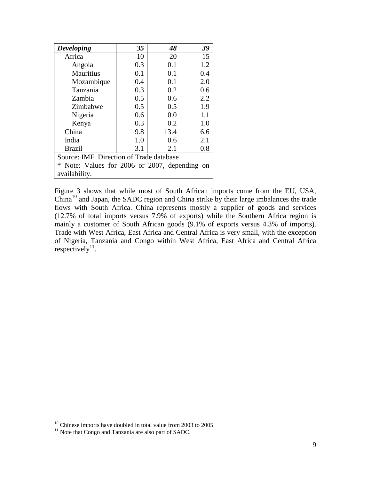| <b>Developing</b>                                | 35  | 48   | 39  |  |  |
|--------------------------------------------------|-----|------|-----|--|--|
| Africa                                           | 10  | 20   | 15  |  |  |
| Angola                                           | 0.3 | 0.1  | 1.2 |  |  |
| Mauritius                                        | 0.1 | 0.1  | 0.4 |  |  |
| Mozambique                                       | 0.4 | 0.1  | 2.0 |  |  |
| Tanzania                                         | 0.3 | 0.2  | 0.6 |  |  |
| Zambia                                           | 0.5 | 0.6  | 2.2 |  |  |
| Zimbabwe                                         | 0.5 | 0.5  | 1.9 |  |  |
| Nigeria                                          | 0.6 | 0.0  | 1.1 |  |  |
| Kenya                                            | 0.3 | 0.2  | 1.0 |  |  |
| China                                            | 9.8 | 13.4 | 6.6 |  |  |
| India                                            | 1.0 | 0.6  | 2.1 |  |  |
| <b>Brazil</b>                                    | 3.1 | 2.1  | 0.8 |  |  |
| Source: IMF. Direction of Trade database         |     |      |     |  |  |
| *<br>Note: Values for 2006 or 2007, depending on |     |      |     |  |  |
| availability.                                    |     |      |     |  |  |

Figure 3 shows that while most of South African imports come from the EU, USA, China<sup>10</sup> and Japan, the SADC region and China strike by their large imbalances the trade flows with South Africa. China represents mostly a supplier of goods and services (12.7% of total imports versus 7.9% of exports) while the Southern Africa region is mainly a customer of South African goods (9.1% of exports versus 4.3% of imports). Trade with West Africa, East Africa and Central Africa is very small, with the exception of Nigeria, Tanzania and Congo within West Africa, East Africa and Central Africa respectively<sup>11</sup>.

 $10$  Chinese imports have doubled in total value from 2003 to 2005.

 $11$  Note that Congo and Tanzania are also part of SADC.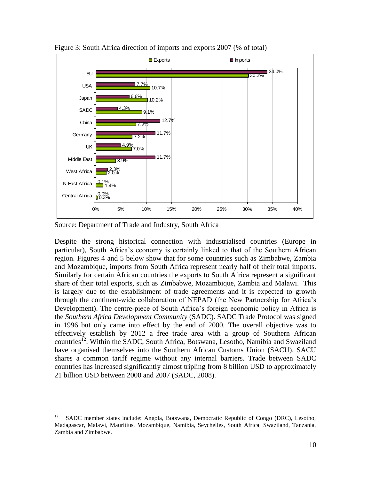

Figure 3: South Africa direction of imports and exports 2007 (% of total)

Source: Department of Trade and Industry, South Africa

Despite the strong historical connection with industrialised countries (Europe in particular), South Africa"s economy is certainly linked to that of the Southern African region. Figures 4 and 5 below show that for some countries such as Zimbabwe, Zambia and Mozambique, imports from South Africa represent nearly half of their total imports. Similarly for certain African countries the exports to South Africa represent a significant share of their total exports, such as Zimbabwe, Mozambique, Zambia and Malawi. This is largely due to the establishment of trade agreements and it is expected to growth through the continent-wide collaboration of NEPAD (the New Partnership for Africa"s Development). The centre-piece of South Africa"s foreign economic policy in Africa is the *Southern Africa Development Community* (SADC). SADC Trade Protocol was signed in 1996 but only came into effect by the end of 2000. The overall objective was to effectively establish by 2012 a free trade area with a group of Southern African countries<sup>12</sup>. Within the SADC, South Africa, Botswana, Lesotho, Namibia and Swaziland have organised themselves into the Southern African Customs Union (SACU). SACU shares a common tariff regime without any internal barriers. Trade between SADC countries has increased significantly almost tripling from 8 billion USD to approximately 21 billion USD between 2000 and 2007 (SADC, 2008).

 $\overline{a}$ 12 SADC member states include: Angola, Botswana, Democratic Republic of Congo (DRC), Lesotho, Madagascar, Malawi, Mauritius, Mozambique, Namibia, Seychelles, South Africa, Swaziland, Tanzania, Zambia and Zimbabwe.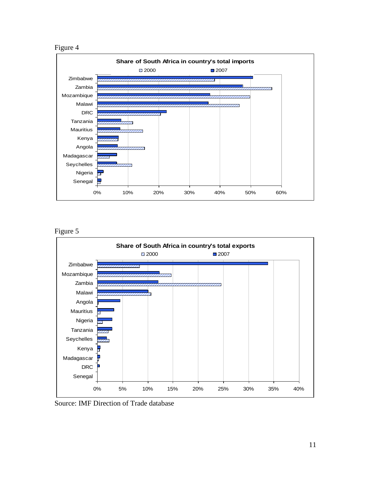



Figure 5



Source: IMF Direction of Trade database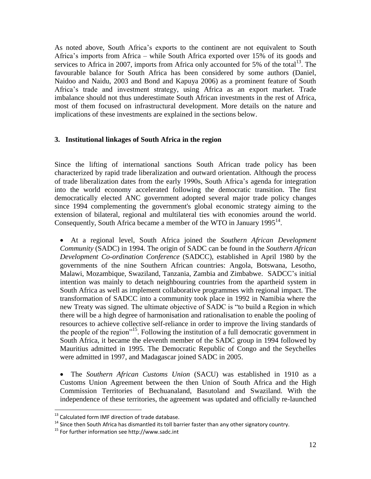As noted above, South Africa"s exports to the continent are not equivalent to South Africa"s imports from Africa – while South Africa exported over 15% of its goods and services to Africa in 2007, imports from Africa only accounted for 5% of the total<sup>13</sup>. The favourable balance for South Africa has been considered by some authors (Daniel, Naidoo and Naidu, 2003 and Bond and Kapuya 2006) as a prominent feature of South Africa"s trade and investment strategy, using Africa as an export market. Trade imbalance should not thus underestimate South African investments in the rest of Africa, most of them focused on infrastructural development. More details on the nature and implications of these investments are explained in the sections below.

#### **3. Institutional linkages of South Africa in the region**

Since the lifting of international sanctions South African trade policy has been characterized by rapid trade liberalization and outward orientation. Although the process of trade liberalization dates from the early 1990s, South Africa"s agenda for integration into the world economy accelerated following the democratic transition. The first democratically elected ANC government adopted several major trade policy changes since 1994 complementing the government's global economic strategy aiming to the extension of bilateral, regional and multilateral ties with economies around the world. Consequently, South Africa became a member of the WTO in January 1995<sup>14</sup>.

 At a regional level, South Africa joined the *Southern African Development Community* (SADC) in 1994. The origin of SADC can be found in the *Southern African Development Co-ordination Conference* (SADCC), established in April 1980 by the governments of the nine Southern African countries: Angola, Botswana, Lesotho, Malawi, Mozambique, Swaziland, Tanzania, Zambia and Zimbabwe. SADCC"s initial intention was mainly to detach neighbouring countries from the apartheid system in South Africa as well as implement collaborative programmes with regional impact. The transformation of SADCC into a community took place in 1992 in Namibia where the new Treaty was signed. The ultimate objective of SADC is "to build a Region in which there will be a high degree of harmonisation and rationalisation to enable the pooling of resources to achieve collective self-reliance in order to improve the living standards of the people of the region"<sup>15</sup>. Following the institution of a full democratic government in South Africa, it became the eleventh member of the SADC group in 1994 followed by Mauritius admitted in 1995. The Democratic Republic of Congo and the Seychelles were admitted in 1997, and Madagascar joined SADC in 2005.

 The *Southern African Customs Union* (SACU) was established in 1910 as a Customs Union Agreement between the then Union of South Africa and the High Commission Territories of Bechuanaland, Basutoland and Swaziland. With the independence of these territories, the agreement was updated and officially re-launched

 $^{13}$  Calculated form IMF direction of trade database.

 $14$  Since then South Africa has dismantled its toll barrier faster than any other signatory country.

<sup>15</sup> For further information see http://www.sadc.int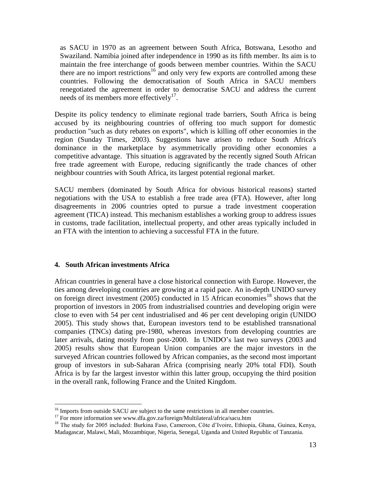as SACU in 1970 as an agreement between South Africa, Botswana, Lesotho and Swaziland. Namibia joined after independence in 1990 as its fifth member. Its aim is to maintain the free interchange of goods between member countries. Within the SACU there are no import restrictions<sup>16</sup> and only very few exports are controlled among these countries. Following the democratisation of South Africa in SACU members renegotiated the agreement in order to democratise SACU and address the current needs of its members more effectively $17$ .

Despite its policy tendency to eliminate regional trade barriers, South Africa is being accused by its neighbouring countries of offering too much support for domestic production "such as duty rebates on exports", which is killing off other economies in the region (Sunday Times, 2003). Suggestions have arisen to reduce South Africa's dominance in the marketplace by asymmetrically providing other economies a competitive advantage. This situation is aggravated by the recently signed South African free trade agreement with Europe, reducing significantly the trade chances of other neighbour countries with South Africa, its largest potential regional market.

SACU members (dominated by South Africa for obvious historical reasons) started negotiations with the USA to establish a free trade area (FTA). However, after long disagreements in 2006 countries opted to pursue a trade investment cooperation agreement (TICA) instead. This mechanism establishes a working group to address issues in customs, trade facilitation, intellectual property, and other areas typically included in an FTA with the intention to achieving a successful FTA in the future.

#### **4. South African investments Africa**

 $\overline{a}$ 

African countries in general have a close historical connection with Europe. However, the ties among developing countries are growing at a rapid pace. An in-depth UNIDO survey on foreign direct investment (2005) conducted in 15 African economies<sup>18</sup> shows that the proportion of investors in 2005 from industrialised countries and developing origin were close to even with 54 per cent industrialised and 46 per cent developing origin (UNIDO 2005). This study shows that, European investors tend to be established transnational companies (TNCs) dating pre-1980, whereas investors from developing countries are later arrivals, dating mostly from post-2000. In UNIDO"s last two surveys (2003 and 2005) results show that European Union companies are the major investors in the surveyed African countries followed by African companies, as the second most important group of investors in sub-Saharan Africa (comprising nearly 20% total FDI). South Africa is by far the largest investor within this latter group, occupying the third position in the overall rank, following France and the United Kingdom.

<sup>&</sup>lt;sup>16</sup> Imports from outside SACU are subject to the same restrictions in all member countries.

<sup>&</sup>lt;sup>17</sup> For more information see www.dfa.gov.za/foreign/Multilateral/africa/sacu.htm

<sup>&</sup>lt;sup>18</sup> The study for 2005 included: Burkina Faso, Cameroon, Côte d'Ivoire, Ethiopia, Ghana, Guinea, Kenya, Madagascar, Malawi, Mali, Mozambique, Nigeria, Senegal, Uganda and United Republic of Tanzania.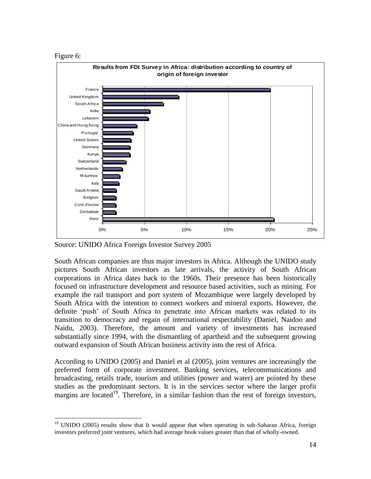

 $\overline{a}$ 



Source: UNIDO Africa Foreign Investor Survey 2005

South African companies are thus major investors in Africa. Although the UNIDO study pictures South African investors as late arrivals, the activity of South African corporations in Africa dates back to the 1960s. Their presence has been historically focused on infrastructure development and resource based activities, such as mining. For example the rail transport and port system of Mozambique were largely developed by South Africa with the intention to connect workers and mineral exports. However, the definite "push" of South Africa to penetrate into African markets was related to its transition to democracy and regain of international respectability (Daniel, Naidoo and Naidu, 2003). Therefore, the amount and variety of investments has increased substantially since 1994, with the dismantling of apartheid and the subsequent growing outward expansion of South African business activity into the rest of Africa.

According to UNIDO (2005) and Daniel et al (2005), joint ventures are increasingly the preferred form of corporate investment. Banking services, telecommunications and broadcasting, retails trade, tourism and utilities (power and water) are pointed by these studies as the predominant sectors. It is in the services sector where the larger profit margins are located<sup>19</sup>. Therefore, in a similar fashion than the rest of foreign investors,

<sup>&</sup>lt;sup>19</sup> UNIDO (2005) results show that It would appear that when operating in sub-Saharan Africa, foreign investors preferred joint ventures, which had average book values greater than that of wholly-owned.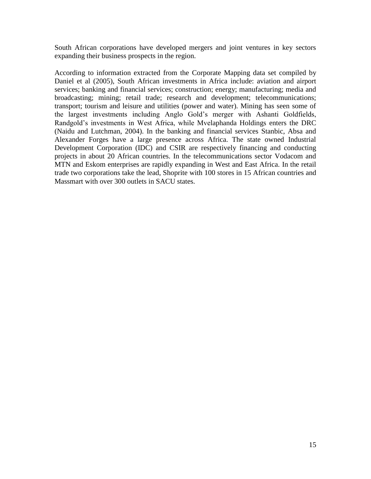South African corporations have developed mergers and joint ventures in key sectors expanding their business prospects in the region.

According to information extracted from the Corporate Mapping data set compiled by Daniel et al (2005), South African investments in Africa include: aviation and airport services; banking and financial services; construction; energy; manufacturing; media and broadcasting; mining; retail trade; research and development; telecommunications; transport; tourism and leisure and utilities (power and water). Mining has seen some of the largest investments including Anglo Gold"s merger with Ashanti Goldfields, Randgold"s investments in West Africa, while Mvelaphanda Holdings enters the DRC (Naidu and Lutchman, 2004). In the banking and financial services Stanbic, Absa and Alexander Forges have a large presence across Africa. The state owned Industrial Development Corporation (IDC) and CSIR are respectively financing and conducting projects in about 20 African countries. In the telecommunications sector Vodacom and MTN and Eskom enterprises are rapidly expanding in West and East Africa. In the retail trade two corporations take the lead, Shoprite with 100 stores in 15 African countries and Massmart with over 300 outlets in SACU states.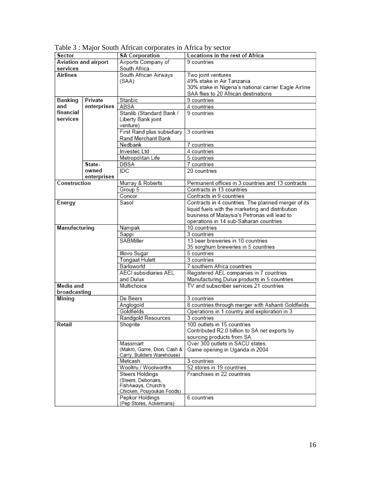| Sector               |             | <b>SA Corporation</b>                      | Locations in the rest of Africa                        |  |
|----------------------|-------------|--------------------------------------------|--------------------------------------------------------|--|
| Aviation and airport |             | Airports Company of                        | 9 countries                                            |  |
| services             |             | South Africa                               |                                                        |  |
| Airlines             |             | South African Airways                      | Two joint ventures                                     |  |
|                      |             | (SAA)                                      | 49% stake in Air Tanzania                              |  |
|                      |             |                                            | 30% stake in Nigeria's national carrier Eagle Airline  |  |
|                      |             |                                            | SAA flies to 20 African destinations                   |  |
| Banking              | Private     | Stanbic                                    | 9 countries                                            |  |
| and                  | enterprises | ABSA                                       | 4 countries                                            |  |
| financial            |             | Stanlib (Standard Bank /                   | 9 countries                                            |  |
| services             |             | Liberty Bank joint                         |                                                        |  |
|                      |             | venture)                                   |                                                        |  |
|                      |             | First Rand plus subsidiary                 | 3 countries                                            |  |
|                      |             | Rand Merchant Bank                         |                                                        |  |
|                      |             | Nedbank                                    | 7 countries                                            |  |
|                      |             | Investec Ltd                               | 4 countries                                            |  |
|                      |             | Metropolitan Life                          | 5 countries                                            |  |
|                      | State-      | DBSA                                       | 7 countries                                            |  |
|                      | owned       | IDC                                        | 20 countries                                           |  |
|                      | enterprises |                                            |                                                        |  |
| Construction         |             | Murray & Roberts                           | Permanent offices in 3 countries and 13 contracts      |  |
|                      |             | Group 5                                    | Contracts in 13 countries                              |  |
|                      |             | Concor                                     | Contracts in 9 countries                               |  |
| Energy               |             | Sasol                                      | Contracts in 4 countries. The planned merger of its    |  |
|                      |             |                                            | liquid fuels with the marketing and distribution       |  |
|                      |             |                                            | business of Malaysia's Petronas will lead to           |  |
|                      |             |                                            | operations in 14 sub-Saharan countries<br>10 countries |  |
| Manufacturing        |             | Nampak                                     | 3 countries                                            |  |
|                      |             | Sappi<br><b>SABMiller</b>                  | 13 beer breweries in 10 countries                      |  |
|                      |             |                                            | 35 sorghum breweries in 5 countries                    |  |
|                      |             | Illovo Sugar                               | 5 countries                                            |  |
|                      |             | <b>Tongaat Hulett</b>                      | 3 countries                                            |  |
|                      |             | Barloworld                                 | 7 southern Africa countries                            |  |
|                      |             | <b>AECI</b> subsidiaries AEL               | Registered AEL companies in 7 countries                |  |
|                      |             | and Dulux                                  | Manufacturing Dulux products in 5 countries            |  |
| Media and            |             | Multichoice                                | TV and subscriber services 21 countries                |  |
| broadcasting         |             |                                            |                                                        |  |
| Mining               |             | De Beers                                   | 3 countries                                            |  |
|                      |             | Anglogold                                  | 8 countries through merger with Ashanti Goldfields     |  |
|                      |             | Goldfields                                 | Operations in 1 country and exploration in 3           |  |
|                      |             | Randgold Resources                         | 3 countries                                            |  |
| Retail               |             | Shoprite                                   | 100 outlets in 15 countries                            |  |
|                      |             |                                            | Contributed R2.0 billion to SA net exports by          |  |
|                      |             |                                            | sourcing products from SA.                             |  |
|                      |             | Massmart                                   | Over 300 outlets in SACU states.                       |  |
|                      |             | (Makro, Game, Dion, Cash &                 | Game opening in Uganda in 2004                         |  |
|                      |             | Carry, Builders Warehouse)                 |                                                        |  |
|                      |             | Metcash                                    | 3 countries                                            |  |
|                      |             | Wooltru / Woolworths                       | 52 stores in 19 countries                              |  |
|                      |             | <b>Steers Holdings</b>                     | Franchises in 22 countries                             |  |
|                      |             | (Steers, Debonairs,<br>FishAways, Church's |                                                        |  |
|                      |             | Chicken, Pouyoukas Foods)                  |                                                        |  |
|                      |             | Pepkor Holdings                            | 6 countries                                            |  |
|                      |             | (Pep Stores, Ackermans)                    |                                                        |  |

Table 3 : Major South African corporates in Africa by sector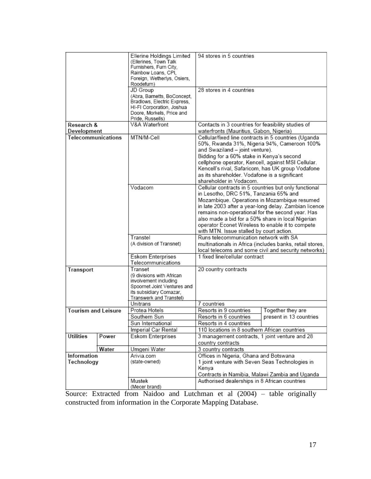|                            |       | Ellerine Holdings Limited<br>(Ellerines, Town Talk<br>Furnishers, Furn City,<br>Rainbow Loans, CPI.<br>Foreign, Wetherlys, Osiers,<br>Roodefurn) | 94 stores in 5 countries                                                                                                                                                                                                                                                                                                                                                   |                         |
|----------------------------|-------|--------------------------------------------------------------------------------------------------------------------------------------------------|----------------------------------------------------------------------------------------------------------------------------------------------------------------------------------------------------------------------------------------------------------------------------------------------------------------------------------------------------------------------------|-------------------------|
|                            |       | JD Group                                                                                                                                         | 28 stores in 4 countries                                                                                                                                                                                                                                                                                                                                                   |                         |
|                            |       | (Abra, Barnetts, BoConcept,<br>Bradlows, Electric Express,<br>HI-FI Corporation, Joshua                                                          |                                                                                                                                                                                                                                                                                                                                                                            |                         |
|                            |       | Doore, Morkels, Price and                                                                                                                        |                                                                                                                                                                                                                                                                                                                                                                            |                         |
| Research &                 |       | Pride, Russells)<br>V&A Waterfront                                                                                                               | Contacts in 3 countries for feasibility studies of                                                                                                                                                                                                                                                                                                                         |                         |
| Development                |       |                                                                                                                                                  | waterfronts (Mauritius, Gabon, Nigeria)                                                                                                                                                                                                                                                                                                                                    |                         |
| Telecommunications         |       | MTN/M-Cell                                                                                                                                       | Cellular/fixed line contracts in 5 countries (Uganda<br>50%, Rwanda 31%, Nigeria 94%, Cameroon 100%<br>and Swaziland - joint venture).<br>Bidding for a 60% stake in Kenya's second<br>cellphone operator, Kencell, against MSI Cellular.<br>Kencell's rival, Safaricom, has UK group Vodafone<br>as its shareholder. Vodafone is a significant<br>shareholder in Vodacom. |                         |
|                            |       | Vodacom                                                                                                                                          | Cellular contracts in 5 countries but only functional                                                                                                                                                                                                                                                                                                                      |                         |
|                            |       |                                                                                                                                                  | in Lesotho, DRC 51%, Tanzania 65% and                                                                                                                                                                                                                                                                                                                                      |                         |
|                            |       |                                                                                                                                                  | Mozambique. Operations in Mozambique resumed                                                                                                                                                                                                                                                                                                                               |                         |
|                            |       |                                                                                                                                                  | in late 2003 after a year-long delay. Zambian licence                                                                                                                                                                                                                                                                                                                      |                         |
|                            |       |                                                                                                                                                  | remains non-operational for the second year. Has                                                                                                                                                                                                                                                                                                                           |                         |
|                            |       |                                                                                                                                                  | also made a bid for a 50% share in local Nigerian                                                                                                                                                                                                                                                                                                                          |                         |
|                            |       |                                                                                                                                                  | operator Econet Wireless to enable it to compete                                                                                                                                                                                                                                                                                                                           |                         |
|                            |       |                                                                                                                                                  | with MTN. Issue stalled by court action.                                                                                                                                                                                                                                                                                                                                   |                         |
|                            |       | Transtel<br>(A division of Transnet)                                                                                                             | Runs telecommunication network with SA                                                                                                                                                                                                                                                                                                                                     |                         |
|                            |       |                                                                                                                                                  | multinationals in Africa (includes banks, retail stores,<br>local telecoms and some civil and security networks)                                                                                                                                                                                                                                                           |                         |
|                            |       | Eskom Enterprises                                                                                                                                | 1 fixed line/cellular contract                                                                                                                                                                                                                                                                                                                                             |                         |
|                            |       | Telecommunications                                                                                                                               |                                                                                                                                                                                                                                                                                                                                                                            |                         |
| Transport                  |       | Transet                                                                                                                                          | 20 country contracts                                                                                                                                                                                                                                                                                                                                                       |                         |
|                            |       | (9 divisions with African                                                                                                                        |                                                                                                                                                                                                                                                                                                                                                                            |                         |
|                            |       | involvement including<br>Spoornet Joint Ventures and                                                                                             |                                                                                                                                                                                                                                                                                                                                                                            |                         |
|                            |       | its subsidiary Comazar,                                                                                                                          |                                                                                                                                                                                                                                                                                                                                                                            |                         |
|                            |       | Transwerk and Transtel)                                                                                                                          |                                                                                                                                                                                                                                                                                                                                                                            |                         |
|                            |       | Unitrans                                                                                                                                         | 7 countries                                                                                                                                                                                                                                                                                                                                                                |                         |
| <b>Tourism and Leisure</b> |       | Protea Hotels                                                                                                                                    | Resorts in 9 countries<br>Together they are                                                                                                                                                                                                                                                                                                                                |                         |
|                            |       | Southern Sun                                                                                                                                     | Resorts in 6 countries                                                                                                                                                                                                                                                                                                                                                     | present in 13 countries |
|                            |       | Sun International                                                                                                                                | Resorts in 4 countries                                                                                                                                                                                                                                                                                                                                                     |                         |
|                            |       | Imperial Car Rental                                                                                                                              | 110 locations in 8 southern African countries                                                                                                                                                                                                                                                                                                                              |                         |
| Utilities                  | Power | Eskom Enterprises                                                                                                                                | 3 management contracts, 1 joint venture and 28                                                                                                                                                                                                                                                                                                                             |                         |
|                            | Water |                                                                                                                                                  | country contracts<br>3 country contracts                                                                                                                                                                                                                                                                                                                                   |                         |
| Information                |       | Umgeni Water<br>Arivia.com                                                                                                                       | Offices in Nigeria, Ghana and Botswana                                                                                                                                                                                                                                                                                                                                     |                         |
| Technology                 |       | (state-owned)                                                                                                                                    | 1 joint venture with Seven Seas Technologies in<br>Kenya                                                                                                                                                                                                                                                                                                                   |                         |
|                            |       |                                                                                                                                                  | <u>Contracts in Namibia, Malawi Zambia and Uganda</u>                                                                                                                                                                                                                                                                                                                      |                         |
|                            |       | Mustek<br>(Mecer brand)                                                                                                                          | Authorised dealerships in 8 African countries                                                                                                                                                                                                                                                                                                                              |                         |

Source: Extracted from Naidoo and Lutchman et al (2004) – table originally constructed from information in the Corporate Mapping Database.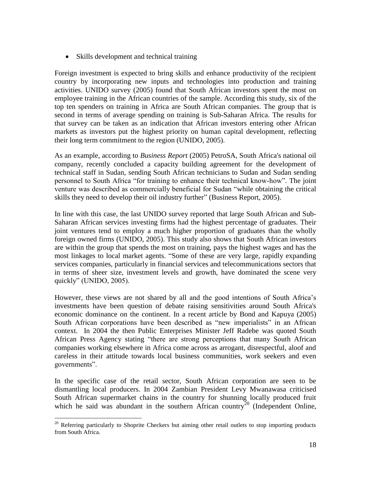• Skills development and technical training

Foreign investment is expected to bring skills and enhance productivity of the recipient country by incorporating new inputs and technologies into production and training activities. UNIDO survey (2005) found that South African investors spent the most on employee training in the African countries of the sample. According this study, six of the top ten spenders on training in Africa are South African companies. The group that is second in terms of average spending on training is Sub-Saharan Africa. The results for that survey can be taken as an indication that African investors entering other African markets as investors put the highest priority on human capital development, reflecting their long term commitment to the region (UNIDO, 2005).

As an example, according to *Business Report* (2005) PetroSA, South Africa's national oil company, recently concluded a capacity building agreement for the development of technical staff in Sudan, sending South African technicians to Sudan and Sudan sending personnel to South Africa "for training to enhance their technical know-how". The joint venture was described as commercially beneficial for Sudan "while obtaining the critical skills they need to develop their oil industry further" (Business Report, 2005).

In line with this case, the last UNIDO survey reported that large South African and Sub-Saharan African services investing firms had the highest percentage of graduates. Their joint ventures tend to employ a much higher proportion of graduates than the wholly foreign owned firms (UNIDO, 2005). This study also shows that South African investors are within the group that spends the most on training, pays the highest wages and has the most linkages to local market agents. "Some of these are very large, rapidly expanding services companies, particularly in financial services and telecommunications sectors that in terms of sheer size, investment levels and growth, have dominated the scene very quickly" (UNIDO, 2005).

However, these views are not shared by all and the good intentions of South Africa"s investments have been question of debate raising sensitivities around South Africa's economic dominance on the continent. In a recent article by Bond and Kapuya (2005) South African corporations have been described as "new imperialists" in an African context. In 2004 the then Public Enterprises Minister Jeff Radebe was quoted South African Press Agency stating "there are strong perceptions that many South African companies working elsewhere in Africa come across as arrogant, disrespectful, aloof and careless in their attitude towards local business communities, work seekers and even governments".

In the specific case of the retail sector, South African corporation are seen to be dismantling local producers. In 2004 Zambian President Levy Mwanawasa criticised South African supermarket chains in the country for shunning locally produced fruit which he said was abundant in the southern African country<sup>20</sup> (Independent Online,

 $\overline{a}$  $20$  Referring particularly to Shoprite Checkers but aiming other retail outlets to stop importing products from South Africa.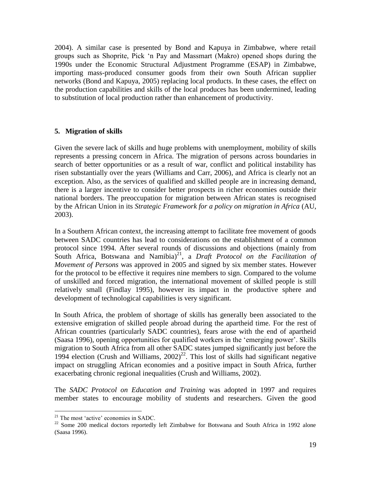2004). A similar case is presented by Bond and Kapuya in Zimbabwe, where retail groups such as Shoprite, Pick "n Pay and Massmart (Makro) opened shops during the 1990s under the Economic Structural Adjustment Programme (ESAP) in Zimbabwe, importing mass-produced consumer goods from their own South African supplier networks (Bond and Kapuya, 2005) replacing local products. In these cases, the effect on the production capabilities and skills of the local produces has been undermined, leading to substitution of local production rather than enhancement of productivity.

### **5. Migration of skills**

Given the severe lack of skills and huge problems with unemployment, mobility of skills represents a pressing concern in Africa. The migration of persons across boundaries in search of better opportunities or as a result of war, conflict and political instability has risen substantially over the years (Williams and Carr, 2006), and Africa is clearly not an exception. Also, as the services of qualified and skilled people are in increasing demand, there is a larger incentive to consider better prospects in richer economies outside their national borders. The preoccupation for migration between African states is recognised by the African Union in its *Strategic Framework for a policy on migration in Africa* (AU, 2003).

In a Southern African context, the increasing attempt to facilitate free movement of goods between SADC countries has lead to considerations on the establishment of a common protocol since 1994. After several rounds of discussions and objections (mainly from South Africa, Botswana and Namibia) 21 , a *Draft Protocol on the Facilitation of Movement of Persons* was approved in 2005 and signed by six member states. However for the protocol to be effective it requires nine members to sign. Compared to the volume of unskilled and forced migration, the international movement of skilled people is still relatively small (Findlay 1995), however its impact in the productive sphere and development of technological capabilities is very significant.

In South Africa, the problem of shortage of skills has generally been associated to the extensive emigration of skilled people abroad during the apartheid time. For the rest of African countries (particularly SADC countries), fears arose with the end of apartheid (Saasa 1996), opening opportunities for qualified workers in the "emerging power". Skills migration to South Africa from all other SADC states jumped significantly just before the 1994 election (Crush and Williams,  $2002)^{22}$ . This lost of skills had significant negative impact on struggling African economies and a positive impact in South Africa, further exacerbating chronic regional inequalities (Crush and Williams, 2002).

The *SADC Protocol on Education and Training* was adopted in 1997 and requires member states to encourage mobility of students and researchers. Given the good

 $21$  The most 'active' economies in SADC.

<sup>&</sup>lt;sup>22</sup> Some 200 medical doctors reportedly left Zimbabwe for Botswana and South Africa in 1992 alone (Saasa 1996).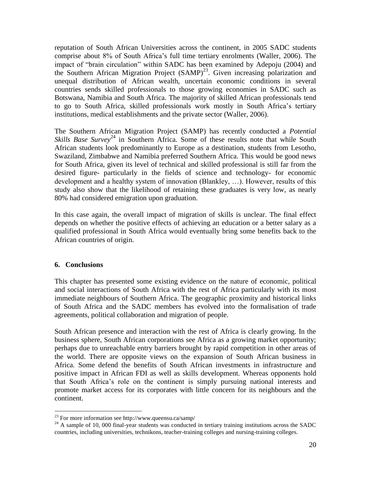reputation of South African Universities across the continent, in 2005 SADC students comprise about 8% of South Africa"s full time tertiary enrolments (Waller, 2006). The impact of "brain circulation" within SADC has been examined by Adepoju (2004) and the Southern African Migration Project (SAMP)<sup>23</sup>. Given increasing polarization and unequal distribution of African wealth, uncertain economic conditions in several countries sends skilled professionals to those growing economies in SADC such as Botswana, Namibia and South Africa. The majority of skilled African professionals tend to go to South Africa, skilled professionals work mostly in South Africa"s tertiary institutions, medical establishments and the private sector (Waller, 2006).

The Southern African Migration Project (SAMP) has recently conducted a *Potential Skills Base Survey*<sup>24</sup> in Southern Africa. Some of these results note that while South African students look predominantly to Europe as a destination, students from Lesotho, Swaziland, Zimbabwe and Namibia preferred Southern Africa. This would be good news for South Africa, given its level of technical and skilled professional is still far from the desired figure- particularly in the fields of science and technology- for economic development and a healthy system of innovation (Blankley, …). However, results of this study also show that the likelihood of retaining these graduates is very low, as nearly 80% had considered emigration upon graduation.

In this case again, the overall impact of migration of skills is unclear. The final effect depends on whether the positive effects of achieving an education or a better salary as a qualified professional in South Africa would eventually bring some benefits back to the African countries of origin.

### **6. Conclusions**

 $\overline{a}$ 

This chapter has presented some existing evidence on the nature of economic, political and social interactions of South Africa with the rest of Africa particularly with its most immediate neighbours of Southern Africa. The geographic proximity and historical links of South Africa and the SADC members has evolved into the formalisation of trade agreements, political collaboration and migration of people.

South African presence and interaction with the rest of Africa is clearly growing. In the business sphere, South African corporations see Africa as a growing market opportunity; perhaps due to unreachable entry barriers brought by rapid competition in other areas of the world. There are opposite views on the expansion of South African business in Africa. Some defend the benefits of South African investments in infrastructure and positive impact in African FDI as well as skills development. Whereas opponents hold that South Africa"s role on the continent is simply pursuing national interests and promote market access for its corporates with little concern for its neighbours and the continent.

<sup>23</sup> For more information see http://www.queensu.ca/samp/

 $^{24}$  A sample of 10, 000 final-year students was conducted in tertiary training institutions across the SADC countries, including universities, technikons, teacher-training colleges and nursing-training colleges.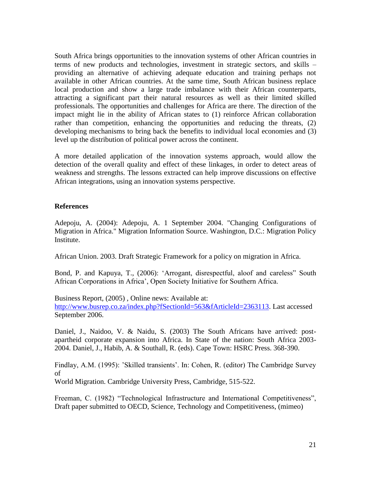South Africa brings opportunities to the innovation systems of other African countries in terms of new products and technologies, investment in strategic sectors, and skills – providing an alternative of achieving adequate education and training perhaps not available in other African countries. At the same time, South African business replace local production and show a large trade imbalance with their African counterparts, attracting a significant part their natural resources as well as their limited skilled professionals. The opportunities and challenges for Africa are there. The direction of the impact might lie in the ability of African states to (1) reinforce African collaboration rather than competition, enhancing the opportunities and reducing the threats, (2) developing mechanisms to bring back the benefits to individual local economies and (3) level up the distribution of political power across the continent.

A more detailed application of the innovation systems approach, would allow the detection of the overall quality and effect of these linkages, in order to detect areas of weakness and strengths. The lessons extracted can help improve discussions on effective African integrations, using an innovation systems perspective.

#### **References**

Adepoju, A. (2004): Adepoju, A. 1 September 2004. "Changing Configurations of Migration in Africa." Migration Information Source. Washington, D.C.: Migration Policy Institute.

African Union. 2003. Draft Strategic Framework for a policy on migration in Africa.

Bond, P. and Kapuya, T., (2006): "Arrogant, disrespectful, aloof and careless" South African Corporations in Africa", Open Society Initiative for Southern Africa.

Business Report, (2005) , Online news: Available at: [http://www.busrep.co.za/index.php?fSectionId=563&fArticleId=2363113.](http://www.busrep.co.za/index.php?fSectionId=563&fArticleId=2363113) Last accessed September 2006.

Daniel, J., Naidoo, V. & Naidu, S. (2003) The South Africans have arrived: postapartheid corporate expansion into Africa. In State of the nation: South Africa 2003- 2004. Daniel, J., Habib, A. & Southall, R. (eds). Cape Town: HSRC Press. 368-390.

Findlay, A.M. (1995): 'Skilled transients'. In: Cohen, R. (editor) The Cambridge Survey of

World Migration. Cambridge University Press, Cambridge, 515-522.

Freeman, C. (1982) "Technological Infrastructure and International Competitiveness", Draft paper submitted to OECD, Science, Technology and Competitiveness, (mimeo)